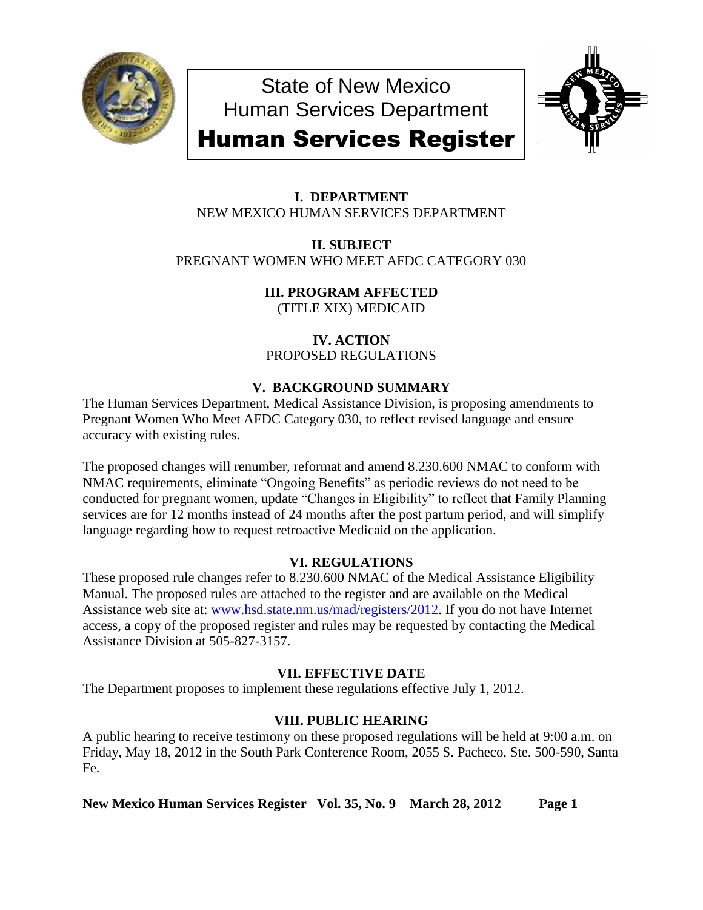

State of New Mexico Human Services Department



# Human Services Register

## **I. DEPARTMENT** NEW MEXICO HUMAN SERVICES DEPARTMENT

## **II. SUBJECT** PREGNANT WOMEN WHO MEET AFDC CATEGORY 030

**III. PROGRAM AFFECTED** (TITLE XIX) MEDICAID

**IV. ACTION**

PROPOSED REGULATIONS

# **V. BACKGROUND SUMMARY**

The Human Services Department, Medical Assistance Division, is proposing amendments to Pregnant Women Who Meet AFDC Category 030, to reflect revised language and ensure accuracy with existing rules.

The proposed changes will renumber, reformat and amend 8.230.600 NMAC to conform with NMAC requirements, eliminate "Ongoing Benefits" as periodic reviews do not need to be conducted for pregnant women, update "Changes in Eligibility" to reflect that Family Planning services are for 12 months instead of 24 months after the post partum period, and will simplify language regarding how to request retroactive Medicaid on the application.

# **VI. REGULATIONS**

These proposed rule changes refer to 8.230.600 NMAC of the Medical Assistance Eligibility Manual. The proposed rules are attached to the register and are available on the Medical Assistance web site at: [www.hsd.state.nm.us/mad/registers/2012.](http://www.hsd.state.nm.us/mad/registers/2012) If you do not have Internet access, a copy of the proposed register and rules may be requested by contacting the Medical Assistance Division at 505-827-3157.

# **VII. EFFECTIVE DATE**

The Department proposes to implement these regulations effective July 1, 2012.

# **VIII. PUBLIC HEARING**

A public hearing to receive testimony on these proposed regulations will be held at 9:00 a.m. on Friday, May 18, 2012 in the South Park Conference Room, 2055 S. Pacheco, Ste. 500-590, Santa Fe.

**New Mexico Human Services Register Vol. 35, No. 9 March 28, 2012 Page 1**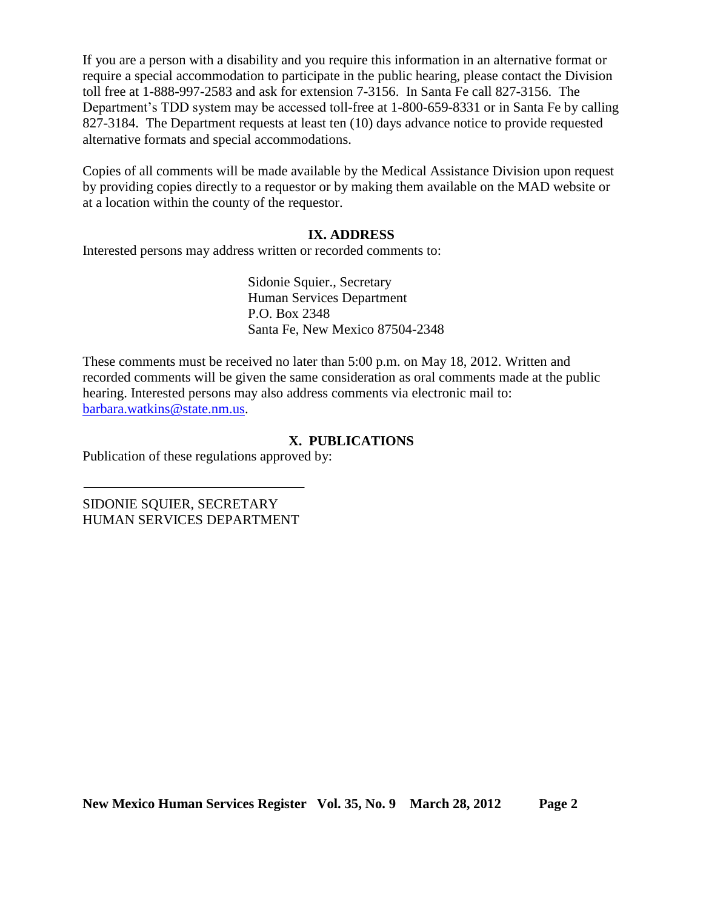If you are a person with a disability and you require this information in an alternative format or require a special accommodation to participate in the public hearing, please contact the Division toll free at 1-888-997-2583 and ask for extension 7-3156. In Santa Fe call 827-3156. The Department's TDD system may be accessed toll-free at 1-800-659-8331 or in Santa Fe by calling 827-3184. The Department requests at least ten (10) days advance notice to provide requested alternative formats and special accommodations.

Copies of all comments will be made available by the Medical Assistance Division upon request by providing copies directly to a requestor or by making them available on the MAD website or at a location within the county of the requestor.

#### **IX. ADDRESS**

Interested persons may address written or recorded comments to:

Sidonie Squier., Secretary Human Services Department P.O. Box 2348 Santa Fe, New Mexico 87504-2348

These comments must be received no later than 5:00 p.m. on May 18, 2012. Written and recorded comments will be given the same consideration as oral comments made at the public hearing. Interested persons may also address comments via electronic mail to: [barbara.watkins@state.nm.us.](mailto:barbara.watkins@state.nm.us)

#### **X. PUBLICATIONS**

Publication of these regulations approved by:

SIDONIE SQUIER, SECRETARY HUMAN SERVICES DEPARTMENT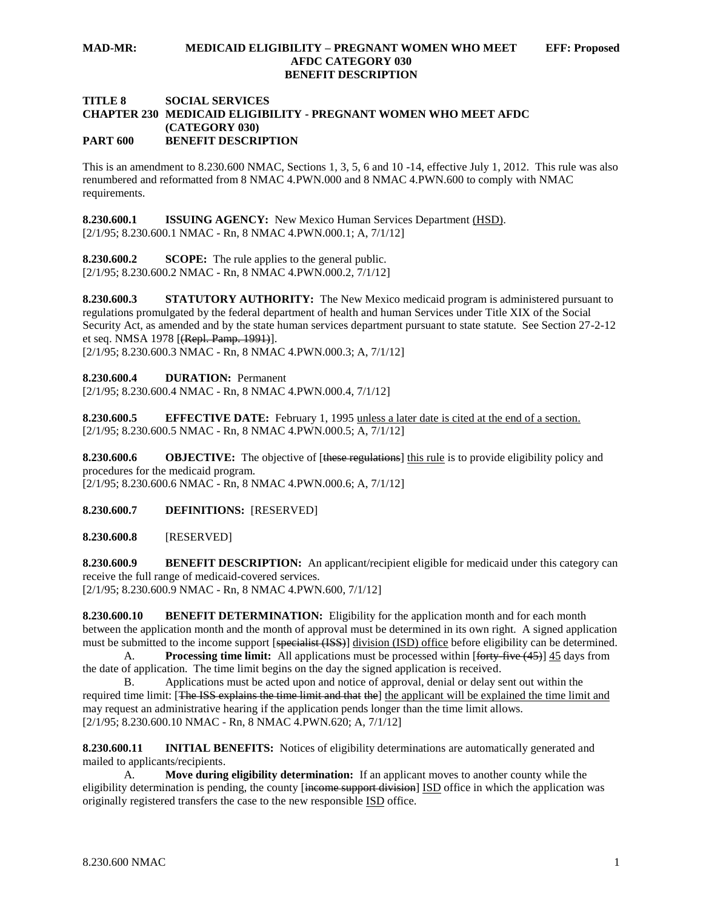#### **MAD-MR: MEDICAID ELIGIBILITY – PREGNANT WOMEN WHO MEET EFF: Proposed AFDC CATEGORY 030 BENEFIT DESCRIPTION**

#### **TITLE 8 SOCIAL SERVICES CHAPTER 230 MEDICAID ELIGIBILITY - PREGNANT WOMEN WHO MEET AFDC (CATEGORY 030) PART 600 BENEFIT DESCRIPTION**

This is an amendment to 8.230.600 NMAC, Sections 1, 3, 5, 6 and 10 -14, effective July 1, 2012. This rule was also renumbered and reformatted from 8 NMAC 4.PWN.000 and 8 NMAC 4.PWN.600 to comply with NMAC requirements.

**8.230.600.1 ISSUING AGENCY:** New Mexico Human Services Department (HSD). [2/1/95; 8.230.600.1 NMAC - Rn, 8 NMAC 4.PWN.000.1; A, 7/1/12]

**8.230.600.2 SCOPE:** The rule applies to the general public. [2/1/95; 8.230.600.2 NMAC - Rn, 8 NMAC 4.PWN.000.2, 7/1/12]

**8.230.600.3 STATUTORY AUTHORITY:** The New Mexico medicaid program is administered pursuant to regulations promulgated by the federal department of health and human Services under Title XIX of the Social Security Act, as amended and by the state human services department pursuant to state statute. See Section 27-2-12 et seq. NMSA 1978 [(Repl. Pamp. 1991)].

[2/1/95; 8.230.600.3 NMAC - Rn, 8 NMAC 4.PWN.000.3; A, 7/1/12]

**8.230.600.4 DURATION:** Permanent

[2/1/95; 8.230.600.4 NMAC - Rn, 8 NMAC 4.PWN.000.4, 7/1/12]

**8.230.600.5 EFFECTIVE DATE:** February 1, 1995 unless a later date is cited at the end of a section. [2/1/95; 8.230.600.5 NMAC - Rn, 8 NMAC 4.PWN.000.5; A, 7/1/12]

**8.230.600.6 OBJECTIVE:** The objective of [these regulations] this rule is to provide eligibility policy and procedures for the medicaid program. [2/1/95; 8.230.600.6 NMAC - Rn, 8 NMAC 4.PWN.000.6; A, 7/1/12]

**8.230.600.7 DEFINITIONS:** [RESERVED]

**8.230.600.8** [RESERVED]

**8.230.600.9 BENEFIT DESCRIPTION:** An applicant/recipient eligible for medicaid under this category can receive the full range of medicaid-covered services. [2/1/95; 8.230.600.9 NMAC - Rn, 8 NMAC 4.PWN.600, 7/1/12]

**8.230.600.10 BENEFIT DETERMINATION:** Eligibility for the application month and for each month between the application month and the month of approval must be determined in its own right. A signed application must be submitted to the income support [specialist (ISS)] division (ISD) office before eligibility can be determined.

A. **Processing time limit:** All applications must be processed within [forty-five (45)] 45 days from the date of application. The time limit begins on the day the signed application is received.

B. Applications must be acted upon and notice of approval, denial or delay sent out within the required time limit: [The ISS explains the time limit and that the] the applicant will be explained the time limit and may request an administrative hearing if the application pends longer than the time limit allows. [2/1/95; 8.230.600.10 NMAC - Rn, 8 NMAC 4.PWN.620; A, 7/1/12]

**8.230.600.11 INITIAL BENEFITS:** Notices of eligibility determinations are automatically generated and mailed to applicants/recipients.

A. **Move during eligibility determination:** If an applicant moves to another county while the eligibility determination is pending, the county <del>[income support division</del>] ISD office in which the application was originally registered transfers the case to the new responsible ISD office.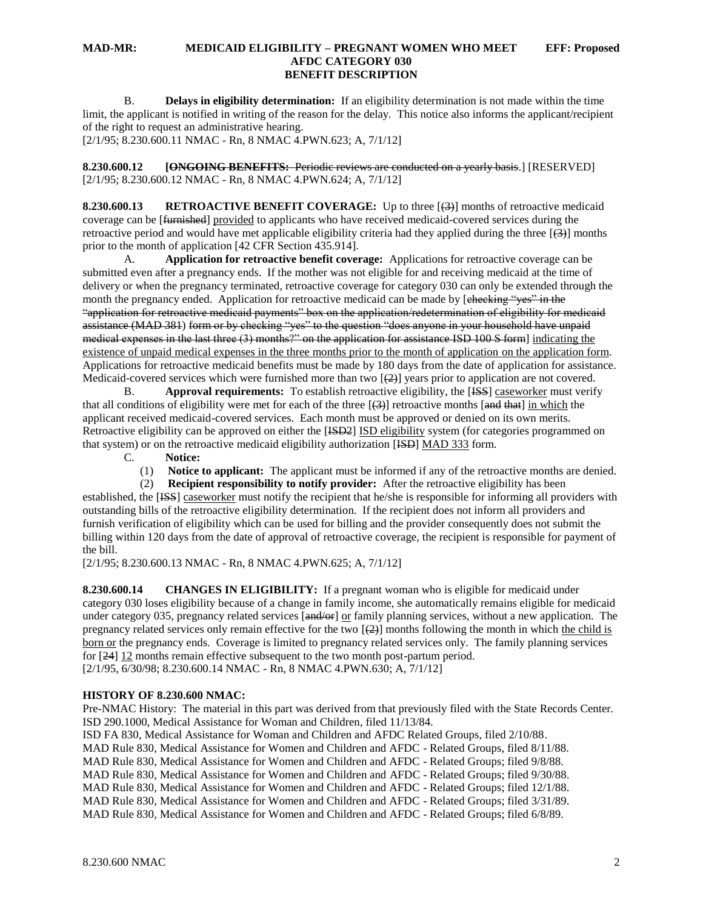B. **Delays in eligibility determination:** If an eligibility determination is not made within the time limit, the applicant is notified in writing of the reason for the delay. This notice also informs the applicant/recipient of the right to request an administrative hearing.

[2/1/95; 8.230.600.11 NMAC - Rn, 8 NMAC 4.PWN.623; A, 7/1/12]

**8.230.600.12 [ONGOING BENEFITS:** Periodic reviews are conducted on a yearly basis.] [RESERVED] [2/1/95; 8.230.600.12 NMAC - Rn, 8 NMAC 4.PWN.624; A, 7/1/12]

**8.230.600.13 RETROACTIVE BENEFIT COVERAGE:** Up to three [(3)] months of retroactive medicaid coverage can be [<del>furnished</del>] provided to applicants who have received medicaid-covered services during the retroactive period and would have met applicable eligibility criteria had they applied during the three  $\overline{+}(3)$  months prior to the month of application [42 CFR Section 435.914].

A. **Application for retroactive benefit coverage:** Applications for retroactive coverage can be submitted even after a pregnancy ends. If the mother was not eligible for and receiving medicaid at the time of delivery or when the pregnancy terminated, retroactive coverage for category 030 can only be extended through the month the pregnancy ended. Application for retroactive medicaid can be made by [checking "yes" in the "application for retroactive medicaid payments" box on the application/redetermination of eligibility for medicaid assistance (MAD 381) form or by checking "yes" to the question "does anyone in your household have unpaid medical expenses in the last three (3) months?" on the application for assistance ISD 100 S form] indicating the existence of unpaid medical expenses in the three months prior to the month of application on the application form. Applications for retroactive medicaid benefits must be made by 180 days from the date of application for assistance. Medicaid-covered services which were furnished more than two  $[\frac{2}{2}]$  years prior to application are not covered.

B. **Approval requirements:** To establish retroactive eligibility, the [ISS] caseworker must verify that all conditions of eligibility were met for each of the three  $[$ (3)] retroactive months  $[$ and that] in which the applicant received medicaid-covered services. Each month must be approved or denied on its own merits. Retroactive eligibility can be approved on either the [<del>ISD2</del>] ISD eligibility system (for categories programmed on that system) or on the retroactive medicaid eligibility authorization [ISD] MAD 333 form.

C. **Notice:**

(1) **Notice to applicant:** The applicant must be informed if any of the retroactive months are denied.

 (2) **Recipient responsibility to notify provider:** After the retroactive eligibility has been established, the [ISS] caseworker must notify the recipient that he/she is responsible for informing all providers with outstanding bills of the retroactive eligibility determination. If the recipient does not inform all providers and furnish verification of eligibility which can be used for billing and the provider consequently does not submit the billing within 120 days from the date of approval of retroactive coverage, the recipient is responsible for payment of the bill.

[2/1/95; 8.230.600.13 NMAC - Rn, 8 NMAC 4.PWN.625; A, 7/1/12]

**8.230.600.14 CHANGES IN ELIGIBILITY:** If a pregnant woman who is eligible for medicaid under category 030 loses eligibility because of a change in family income, she automatically remains eligible for medicaid under category 035, pregnancy related services [and/or] or family planning services, without a new application. The pregnancy related services only remain effective for the two  $[\frac{2}{2}]$  months following the month in which the child is born or the pregnancy ends. Coverage is limited to pregnancy related services only. The family planning services for [24] 12 months remain effective subsequent to the two month post-partum period. [2/1/95, 6/30/98; 8.230.600.14 NMAC - Rn, 8 NMAC 4.PWN.630; A, 7/1/12]

#### **HISTORY OF 8.230.600 NMAC:**

Pre-NMAC History: The material in this part was derived from that previously filed with the State Records Center. ISD 290.1000, Medical Assistance for Woman and Children, filed 11/13/84.

ISD FA 830, Medical Assistance for Woman and Children and AFDC Related Groups, filed 2/10/88.

MAD Rule 830, Medical Assistance for Women and Children and AFDC - Related Groups, filed 8/11/88.

MAD Rule 830, Medical Assistance for Women and Children and AFDC - Related Groups; filed 9/8/88.

MAD Rule 830, Medical Assistance for Women and Children and AFDC - Related Groups; filed 9/30/88.

MAD Rule 830, Medical Assistance for Women and Children and AFDC - Related Groups; filed 12/1/88.

MAD Rule 830, Medical Assistance for Women and Children and AFDC - Related Groups; filed 3/31/89. MAD Rule 830, Medical Assistance for Women and Children and AFDC - Related Groups; filed 6/8/89.